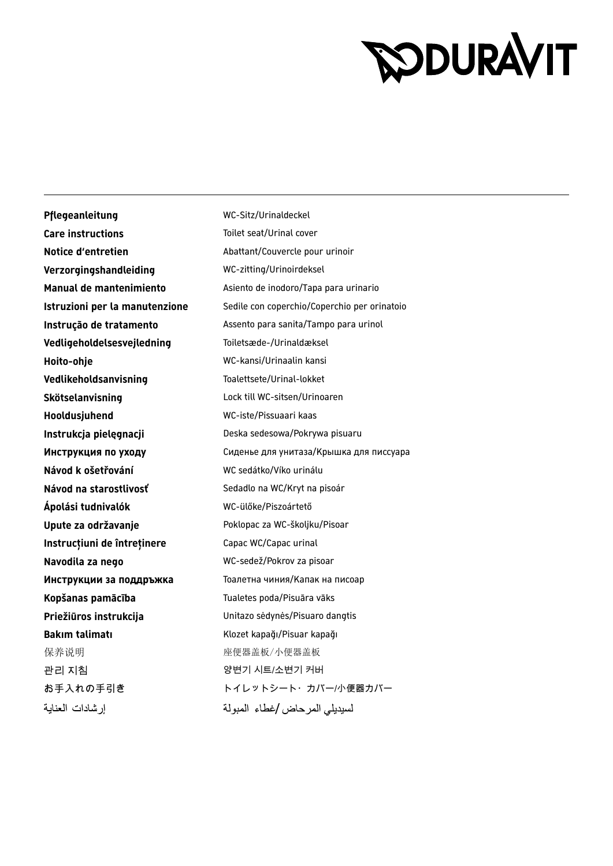# **RODURAVIT**

**Pflegeanleitung** WC-Sitz/Urinaldeckel **Care instructions** Toilet seat/Urinal cover **Notice d'entretien**<br>
Abattant/Couvercle pour urinoir **Verzorgingshandleiding** WC-zitting/Urinoirdeksel **Vedligeholdelsesvejledning** Toiletsæde-/Urinaldæksel **Hoito-ohje** WC-kansi/Urinaalin kansi **Vedlikeholdsanvisning** Toalettsete/Urinal-lokket **Skötselanvisning** Lock till WC-sitsen/Urinoaren **Hooldusjuhend** WC-iste/Pissuaari kaas **Návod k ošetřování** WC sedátko/Víko urinálu Návod na starostlivosť Sedadlo na WC/Kryt na pisoár **Ápolási tudnivalók** WC-ülőke/Piszoártető **Upute za održavanje** Poklopac za WC-školjku/Pisoar **Instrucțiuni de întreținere** Capac WC/Capac urinal **Navodila za nego** WC-sedež/Pokrov za pisoar Kopšanas pamācība **Tualetes poda/Pisuāra vāks Priežiūros instrukcija** Unitazo sėdynės/Pisuaro dangtis **Bakım talimatı** Klozet kapağı/Pisuar kapağı 保养说明 医二十二十二十一二十一一一 座便器盖板/小便器盖板 관리 지침 기대 가능 가능 아버지 시트/소변기 커버 ار شادات العنابة

لسبديلي المرحاض /غطاء المبولة **Manual de mantenimiento** Asiento de inodoro/Tapa para urinario **Istruzioni per la manutenzione** Sedile con coperchio/Coperchio per orinatoio **Instrução de tratamento** Assento para sanita/Tampo para urinol **Instrukcja pielęgnacji** Deska sedesowa/Pokrywa pisuaru **Инструкция по уходу** Сиденье для унитаза/Крышка для писсуара **Инструкции за поддръжка** Тоалетна чиния/Капак на писоар お手入れの手引き アンチャントイレットシート・カバー/小便器カバー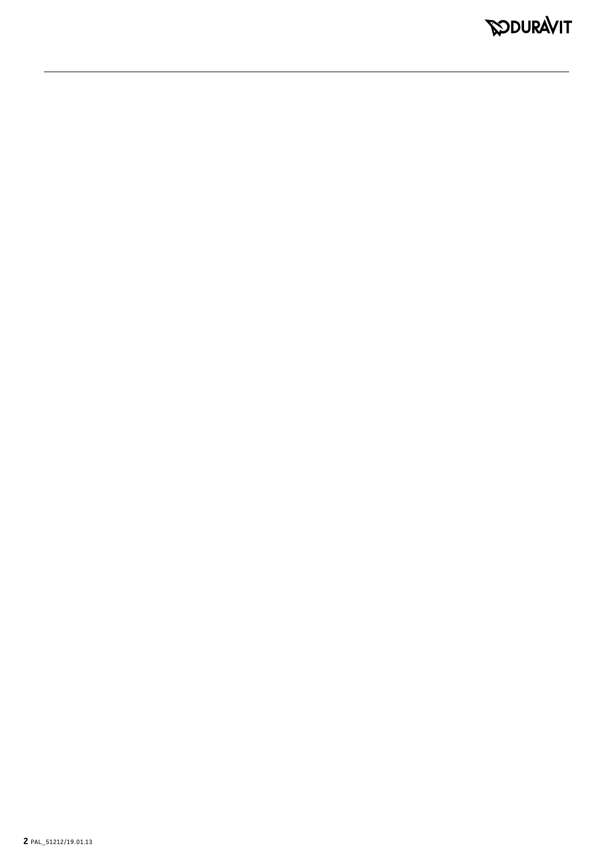### **SODURAVIT**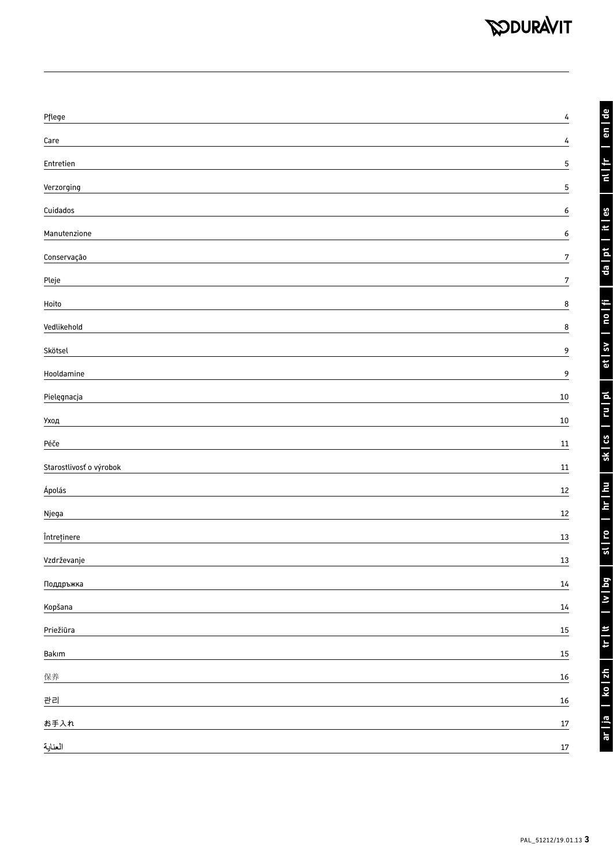| Pflege                  | 4                           |
|-------------------------|-----------------------------|
| Care                    | 4                           |
| Entretien               | 5                           |
| Verzorging              | 5                           |
| Cuidados                | 6                           |
| Manutenzione            | 6                           |
| Conservação             | $\boldsymbol{7}$            |
| Pleje                   | $\boldsymbol{7}$            |
| Hoito                   | 8                           |
| Vedlikehold             | 8                           |
| Skötsel                 | 9                           |
| Hooldamine              | 9                           |
| Pielęgnacja             | $10\,$                      |
| Уход                    | $10\,$                      |
| Péče                    | 11                          |
| Starostlivosť o výrobok | 11                          |
| Ápolás                  | 12                          |
| Njega                   | 12                          |
| Întreținere             | 13                          |
| Vzdrževanje             | 13                          |
| Поддръжка               | 14                          |
| Kopšana                 | 14                          |
| Priežiūra               | $\underline{\phantom{0}15}$ |
| Bakım                   | 15                          |
| 保养                      | 16                          |
| 관리                      | $\underline{16}$            |
| お手入れ                    | 17                          |
| العناية                 | 17                          |
|                         |                             |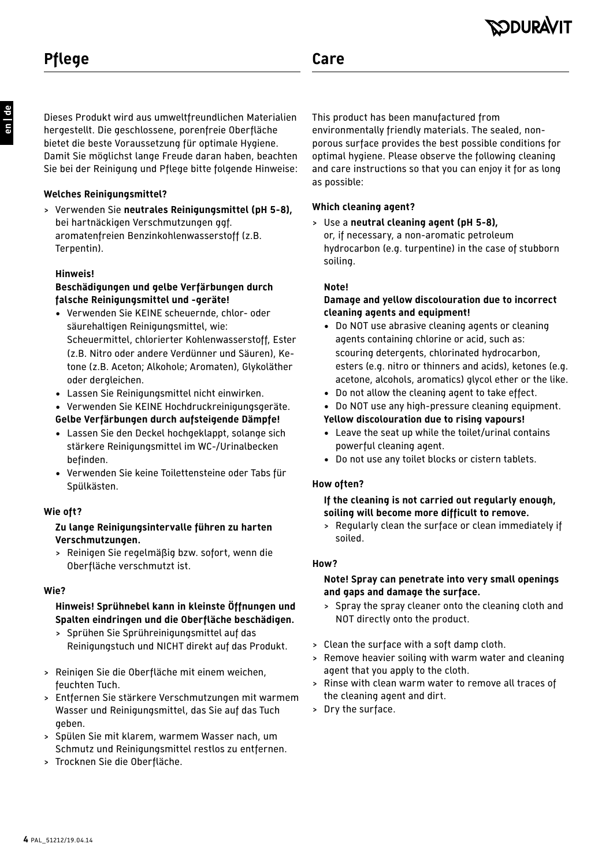**en | de**

Dieses Produkt wird aus umweltfreundlichen Materialien hergestellt. Die geschlossene, porenfreie Oberfläche bietet die beste Voraussetzung für optimale Hygiene. Damit Sie möglichst lange Freude daran haben, beachten Sie bei der Reinigung und Pflege bitte folgende Hinweise:

#### **Welches Reinigungsmittel?**

> Verwenden Sie **neutrales Reinigungsmittel (pH 5-8),** bei hartnäckigen Verschmutzungen ggf. aromatenfreien Benzinkohlenwasserstoff (z.B. Terpentin).

#### **Hinweis!**

#### **Beschädigungen und gelbe Verfärbungen durch falsche Reinigungsmittel und -geräte!**

- Verwenden Sie KEINE scheuernde, chlor- oder säurehaltigen Reinigungsmittel, wie: Scheuermittel, chlorierter Kohlenwasserstoff, Ester (z.B. Nitro oder andere Verdünner und Säuren), Ketone (z.B. Aceton; Alkohole; Aromaten), Glykoläther oder dergleichen.
- Lassen Sie Reinigungsmittel nicht einwirken.
- Verwenden Sie KEINE Hochdruckreinigungsgeräte. **Gelbe Verfärbungen durch aufsteigende Dämpfe!**
- Lassen Sie den Deckel hochgeklappt, solange sich stärkere Reinigungsmittel im WC-/Urinalbecken befinden.
- Verwenden Sie keine Toilettensteine oder Tabs für Spülkästen.

#### **Wie oft?**

#### **Zu lange Reinigungsintervalle führen zu harten Verschmutzungen.**

> Reinigen Sie regelmäßig bzw. sofort, wenn die Oberfläche verschmutzt ist.

#### **Wie?**

#### **Hinweis! Sprühnebel kann in kleinste Öffnungen und Spalten eindringen und die Oberfläche beschädigen.**

- > Sprühen Sie Sprühreinigungsmittel auf das Reinigungstuch und NICHT direkt auf das Produkt.
- > Reinigen Sie die Oberfläche mit einem weichen, feuchten Tuch.
- > Entfernen Sie stärkere Verschmutzungen mit warmem Wasser und Reinigungsmittel, das Sie auf das Tuch geben.
- > Spülen Sie mit klarem, warmem Wasser nach, um Schmutz und Reinigungsmittel restlos zu entfernen.
- > Trocknen Sie die Oberfläche.

This product has been manufactured from environmentally friendly materials. The sealed, nonporous surface provides the best possible conditions for optimal hygiene. Please observe the following cleaning and care instructions so that you can enjoy it for as long as possible:

#### **Which cleaning agent?**

> Use a **neutral cleaning agent (pH 5-8),** or, if necessary, a non-aromatic petroleum hydrocarbon (e.g. turpentine) in the case of stubborn soiling.

#### **Note!**

#### **Damage and yellow discolouration due to incorrect cleaning agents and equipment!**

- Do NOT use abrasive cleaning agents or cleaning agents containing chlorine or acid, such as: scouring detergents, chlorinated hydrocarbon, esters (e.g. nitro or thinners and acids), ketones (e.g. acetone, alcohols, aromatics) glycol ether or the like.
- Do not allow the cleaning agent to take effect.
- Do NOT use any high-pressure cleaning equipment.

#### **Yellow discolouration due to rising vapours!**

- Leave the seat up while the toilet/urinal contains powerful cleaning agent.
- Do not use any toilet blocks or cistern tablets.

#### **How often?**

#### **If the cleaning is not carried out regularly enough, soiling will become more difficult to remove.**

> Regularly clean the surface or clean immediately if soiled.

#### **How?**

#### **Note! Spray can penetrate into very small openings and gaps and damage the surface.**

- > Spray the spray cleaner onto the cleaning cloth and NOT directly onto the product.
- > Clean the surface with a soft damp cloth.
- > Remove heavier soiling with warm water and cleaning agent that you apply to the cloth.
- > Rinse with clean warm water to remove all traces of the cleaning agent and dirt.
- > Dry the surface.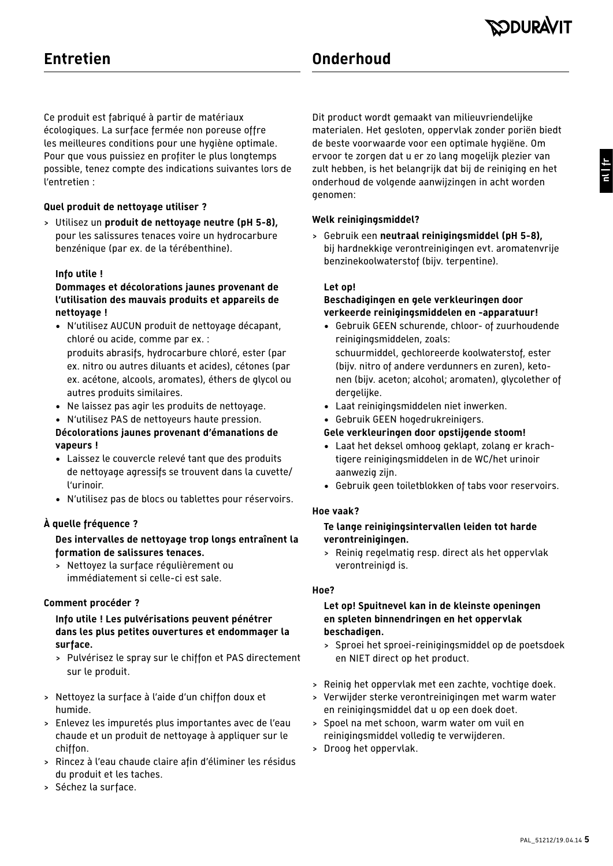**Entretien Onderhoud**

Ce produit est fabriqué à partir de matériaux écologiques. La surface fermée non poreuse offre les meilleures conditions pour une hygiène optimale. Pour que vous puissiez en profiter le plus longtemps possible, tenez compte des indications suivantes lors de l'entretien :

#### **Quel produit de nettoyage utiliser ?**

> Utilisez un **produit de nettoyage neutre (pH 5-8),** pour les salissures tenaces voire un hydrocarbure benzénique (par ex. de la térébenthine).

#### **Info utile !**

#### **Dommages et décolorations jaunes provenant de l'utilisation des mauvais produits et appareils de nettoyage !**

- N'utilisez AUCUN produit de nettoyage décapant, chloré ou acide, comme par ex. : produits abrasifs, hydrocarbure chloré, ester (par ex. nitro ou autres diluants et acides), cétones (par ex. acétone, alcools, aromates), éthers de glycol ou autres produits similaires.
- Ne laissez pas agir les produits de nettoyage.
- N'utilisez PAS de nettoyeurs haute pression.

#### **Décolorations jaunes provenant d'émanations de vapeurs !**

- Laissez le couvercle relevé tant que des produits de nettoyage agressifs se trouvent dans la cuvette/ l'urinoir.
- N'utilisez pas de blocs ou tablettes pour réservoirs.

#### **À quelle fréquence ?**

#### **Des intervalles de nettoyage trop longs entraînent la formation de salissures tenaces.**

> Nettoyez la surface régulièrement ou immédiatement si celle-ci est sale.

#### **Comment procéder ?**

#### **Info utile ! Les pulvérisations peuvent pénétrer dans les plus petites ouvertures et endommager la surface.**

- > Pulvérisez le spray sur le chiffon et PAS directement sur le produit.
- > Nettoyez la surface à l'aide d'un chiffon doux et humide.
- > Enlevez les impuretés plus importantes avec de l'eau chaude et un produit de nettoyage à appliquer sur le chiffon.
- > Rincez à l'eau chaude claire afin d'éliminer les résidus du produit et les taches.
- > Séchez la surface.

Dit product wordt gemaakt van milieuvriendelijke materialen. Het gesloten, oppervlak zonder poriën biedt de beste voorwaarde voor een optimale hygiëne. Om ervoor te zorgen dat u er zo lang mogelijk plezier van zult hebben, is het belangrijk dat bij de reiniging en het onderhoud de volgende aanwijzingen in acht worden genomen:

#### **Welk reinigingsmiddel?**

> Gebruik een **neutraal reinigingsmiddel (pH 5-8),** bij hardnekkige verontreinigingen evt. aromatenvrije benzinekoolwaterstof (bijv. terpentine).

#### **Let op!**

#### **Beschadigingen en gele verkleuringen door verkeerde reinigingsmiddelen en -apparatuur!**

- Gebruik GEEN schurende, chloor- of zuurhoudende reinigingsmiddelen, zoals: schuurmiddel, gechloreerde koolwaterstof, ester (bijv. nitro of andere verdunners en zuren), ketonen (bijv. aceton; alcohol; aromaten), glycolether of dergelijke.
- Laat reinigingsmiddelen niet inwerken.
- Gebruik GEEN hogedrukreinigers.

#### **Gele verkleuringen door opstijgende stoom!**

- Laat het deksel omhoog geklapt, zolang er krachtigere reinigingsmiddelen in de WC/het urinoir aanwezig zijn.
- Gebruik geen toiletblokken of tabs voor reservoirs.

#### **Hoe vaak?**

#### **Te lange reinigingsintervallen leiden tot harde verontreinigingen.**

> Reinig regelmatig resp. direct als het oppervlak verontreinigd is.

#### **Hoe?**

#### **Let op! Spuitnevel kan in de kleinste openingen en spleten binnendringen en het oppervlak beschadigen.**

- > Sproei het sproei-reinigingsmiddel op de poetsdoek en NIET direct op het product.
- > Reinig het oppervlak met een zachte, vochtige doek.
- > Verwijder sterke verontreinigingen met warm water en reinigingsmiddel dat u op een doek doet.
- > Spoel na met schoon, warm water om vuil en reinigingsmiddel volledig te verwijderen.
- > Droog het oppervlak.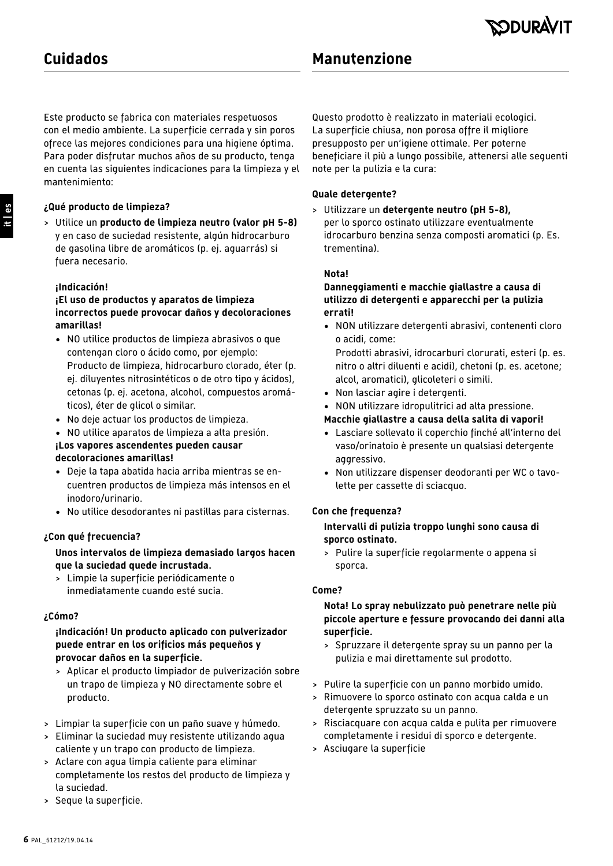Este producto se fabrica con materiales respetuosos con el medio ambiente. La superficie cerrada y sin poros ofrece las mejores condiciones para una higiene óptima. Para poder disfrutar muchos años de su producto, tenga en cuenta las siguientes indicaciones para la limpieza y el mantenimiento:

#### **¿Qué producto de limpieza?**

> Utilice un **producto de limpieza neutro (valor pH 5-8)**  y en caso de suciedad resistente, algún hidrocarburo de gasolina libre de aromáticos (p. ej. aguarrás) si fuera necesario.

#### **¡Indicación!**

#### **¡El uso de productos y aparatos de limpieza incorrectos puede provocar daños y decoloraciones amarillas!**

- NO utilice productos de limpieza abrasivos o que contengan cloro o ácido como, por ejemplo: Producto de limpieza, hidrocarburo clorado, éter (p. ej. diluyentes nitrosintéticos o de otro tipo y ácidos), cetonas (p. ej. acetona, alcohol, compuestos aromáticos), éter de glicol o similar.
- No deje actuar los productos de limpieza.
- NO utilice aparatos de limpieza a alta presión.

#### **¡Los vapores ascendentes pueden causar decoloraciones amarillas!**

- Deje la tapa abatida hacia arriba mientras se encuentren productos de limpieza más intensos en el inodoro/urinario.
- No utilice desodorantes ni pastillas para cisternas.

#### **¿Con qué frecuencia?**

#### **Unos intervalos de limpieza demasiado largos hacen que la suciedad quede incrustada.**

> Limpie la superficie periódicamente o inmediatamente cuando esté sucia.

#### **¿Cómo?**

#### **¡Indicación! Un producto aplicado con pulverizador puede entrar en los orificios más pequeños y provocar daños en la superficie.**

- > Aplicar el producto limpiador de pulverización sobre un trapo de limpieza y NO directamente sobre el producto.
- > Limpiar la superficie con un paño suave y húmedo.
- > Eliminar la suciedad muy resistente utilizando agua caliente y un trapo con producto de limpieza.
- > Aclare con agua limpia caliente para eliminar completamente los restos del producto de limpieza y la suciedad.
- > Seque la superficie.

Questo prodotto è realizzato in materiali ecologici. La superficie chiusa, non porosa offre il migliore presupposto per un'igiene ottimale. Per poterne beneficiare il più a lungo possibile, attenersi alle seguenti note per la pulizia e la cura:

#### **Quale detergente?**

> Utilizzare un **detergente neutro (pH 5-8),** per lo sporco ostinato utilizzare eventualmente idrocarburo benzina senza composti aromatici (p. Es. trementina).

#### **Nota!**

#### **Danneggiamenti e macchie giallastre a causa di utilizzo di detergenti e apparecchi per la pulizia errati!**

- NON utilizzare detergenti abrasivi, contenenti cloro o acidi, come: Prodotti abrasivi, idrocarburi clorurati, esteri (p. es. nitro o altri diluenti e acidi), chetoni (p. es. acetone; alcol, aromatici), glicoleteri o simili.
- Non lasciar agire i detergenti.
- NON utilizzare idropulitrici ad alta pressione.
- **Macchie giallastre a causa della salita di vapori!**
- Lasciare sollevato il coperchio finché all'interno del vaso/orinatoio è presente un qualsiasi detergente aggressivo.
- Non utilizzare dispenser deodoranti per WC o tavolette per cassette di sciacquo.

#### **Con che frequenza?**

#### **Intervalli di pulizia troppo lunghi sono causa di sporco ostinato.**

> Pulire la superficie regolarmente o appena si sporca.

#### **Come?**

#### **Nota! Lo spray nebulizzato può penetrare nelle più piccole aperture e fessure provocando dei danni alla superficie.**

- > Spruzzare il detergente spray su un panno per la pulizia e mai direttamente sul prodotto.
- > Pulire la superficie con un panno morbido umido.
- > Rimuovere lo sporco ostinato con acqua calda e un detergente spruzzato su un panno.
- > Risciacquare con acqua calda e pulita per rimuovere completamente i residui di sporco e detergente.
- > Asciugare la superficie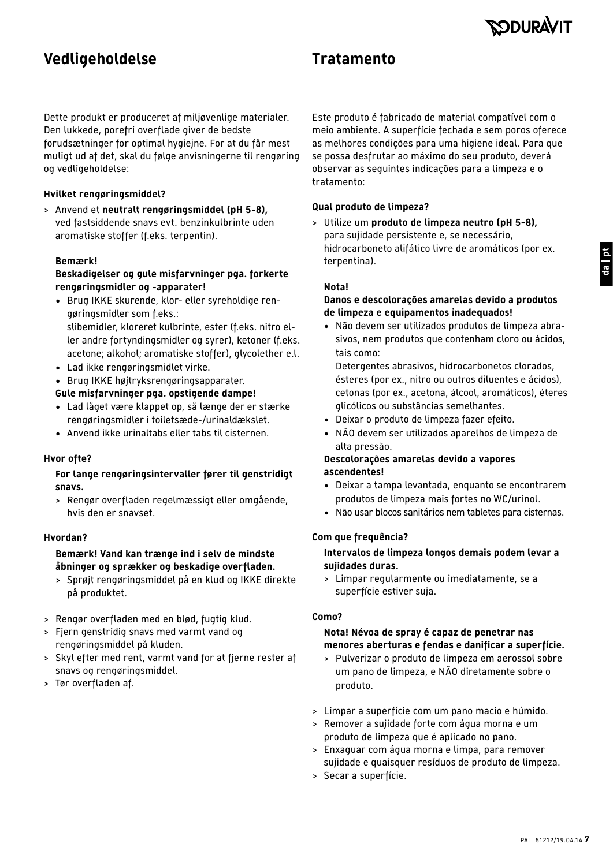Dette produkt er produceret af miljøvenlige materialer. Den lukkede, porefri overflade giver de bedste forudsætninger for optimal hygiejne. For at du får mest muligt ud af det, skal du følge anvisningerne til rengøring og vedligeholdelse:

#### **Hvilket rengøringsmiddel?**

> Anvend et **neutralt rengøringsmiddel (pH 5-8),** ved fastsiddende snavs evt. benzinkulbrinte uden aromatiske stoffer (f.eks. terpentin).

#### **Bemærk!**

#### **Beskadigelser og gule misfarvninger pga. forkerte rengøringsmidler og -apparater!**

- Brug IKKE skurende, klor- eller syreholdige rengøringsmidler som f.eks.: slibemidler, kloreret kulbrinte, ester (f.eks. nitro eller andre fortyndingsmidler og syrer), ketoner (f.eks. acetone; alkohol; aromatiske stoffer), glycolether e.l.
- Lad ikke rengøringsmidlet virke.
- Brug IKKE højtryksrengøringsapparater.
- **Gule misfarvninger pga. opstigende dampe!**
- Lad låget være klappet op, så længe der er stærke rengøringsmidler i toiletsæde-/urinaldækslet.
- Anvend ikke urinaltabs eller tabs til cisternen.

#### **Hvor ofte?**

#### **For lange rengøringsintervaller fører til genstridigt snavs.**

> Rengør overfladen regelmæssigt eller omgående, hvis den er snavset.

#### **Hvordan?**

#### **Bemærk! Vand kan trænge ind i selv de mindste åbninger og sprækker og beskadige overfladen.**

- > Sprøjt rengøringsmiddel på en klud og IKKE direkte på produktet.
- > Rengør overfladen med en blød, fugtig klud.
- > Fjern genstridig snavs med varmt vand og rengøringsmiddel på kluden.
- > Skyl efter med rent, varmt vand for at fjerne rester af snavs og rengøringsmiddel.
- > Tør overfladen af.

Este produto é fabricado de material compatível com o meio ambiente. A superfície fechada e sem poros oferece as melhores condições para uma higiene ideal. Para que se possa desfrutar ao máximo do seu produto, deverá observar as seguintes indicações para a limpeza e o tratamento:

#### **Qual produto de limpeza?**

> Utilize um **produto de limpeza neutro (pH 5-8),** para sujidade persistente e, se necessário, hidrocarboneto alifático livre de aromáticos (por ex. terpentina).

#### **Nota!**

#### **Danos e descolorações amarelas devido a produtos de limpeza e equipamentos inadequados!**

• Não devem ser utilizados produtos de limpeza abrasivos, nem produtos que contenham cloro ou ácidos, tais como:

Detergentes abrasivos, hidrocarbonetos clorados, ésteres (por ex., nitro ou outros diluentes e ácidos), cetonas (por ex., acetona, álcool, aromáticos), éteres glicólicos ou substâncias semelhantes.

- Deixar o produto de limpeza fazer efeito.
- NÃO devem ser utilizados aparelhos de limpeza de alta pressão.

#### **Descolorações amarelas devido a vapores ascendentes!**

- Deixar a tampa levantada, enquanto se encontrarem produtos de limpeza mais fortes no WC/urinol.
- Não usar blocos sanitários nem tabletes para cisternas.

#### **Com que frequência?**

#### **Intervalos de limpeza longos demais podem levar a sujidades duras.**

> Limpar regularmente ou imediatamente, se a superfície estiver suja.

#### **Como?**

#### **Nota! Névoa de spray é capaz de penetrar nas menores aberturas e fendas e danificar a superfície.**

- > Pulverizar o produto de limpeza em aerossol sobre um pano de limpeza, e NÃO diretamente sobre o produto.
- > Limpar a superfície com um pano macio e húmido.
- > Remover a sujidade forte com água morna e um produto de limpeza que é aplicado no pano.
- > Enxaguar com água morna e limpa, para remover sujidade e quaisquer resíduos de produto de limpeza.
- > Secar a superfície.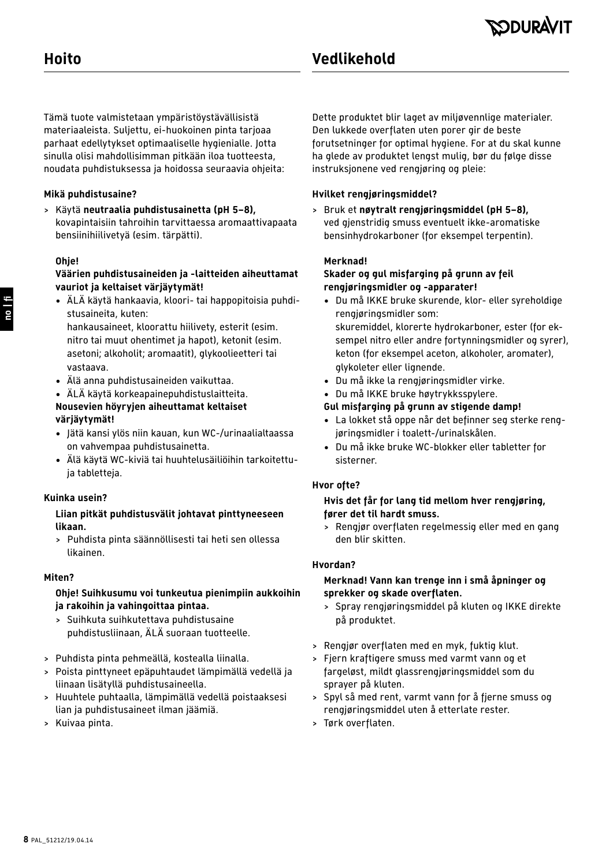Tämä tuote valmistetaan ympäristöystävällisistä materiaaleista. Suljettu, ei-huokoinen pinta tarjoaa parhaat edellytykset optimaaliselle hygienialle. Jotta sinulla olisi mahdollisimman pitkään iloa tuotteesta, noudata puhdistuksessa ja hoidossa seuraavia ohjeita:

#### **Mikä puhdistusaine?**

> Käytä **neutraalia puhdistusainetta (pH 5–8),** kovapintaisiin tahroihin tarvittaessa aromaattivapaata bensiinihiilivetyä (esim. tärpätti).

#### **Ohje!**

#### **Väärien puhdistusaineiden ja -laitteiden aiheuttamat vauriot ja keltaiset värjäytymät!**

• ÄLÄ käytä hankaavia, kloori- tai happopitoisia puhdistusaineita, kuten:

hankausaineet, kloorattu hiilivety, esterit (esim. nitro tai muut ohentimet ja hapot), ketonit (esim. asetoni; alkoholit; aromaatit), glykoolieetteri tai vastaava.

- Älä anna puhdistusaineiden vaikuttaa.
- ÄLÄ käytä korkeapainepuhdistuslaitteita.

#### **Nousevien höyryjen aiheuttamat keltaiset värjäytymät!**

- Jätä kansi ylös niin kauan, kun WC-/urinaalialtaassa on vahvempaa puhdistusainetta.
- Älä käytä WC-kiviä tai huuhtelusäiliöihin tarkoitettuja tabletteja.

#### **Kuinka usein?**

#### **Liian pitkät puhdistusvälit johtavat pinttyneeseen likaan.**

> Puhdista pinta säännöllisesti tai heti sen ollessa likainen.

#### **Miten?**

#### **Ohje! Suihkusumu voi tunkeutua pienimpiin aukkoihin ja rakoihin ja vahingoittaa pintaa.**

- > Suihkuta suihkutettava puhdistusaine puhdistusliinaan, ÄLÄ suoraan tuotteelle.
- > Puhdista pinta pehmeällä, kostealla liinalla.
- > Poista pinttyneet epäpuhtaudet lämpimällä vedellä ja liinaan lisätyllä puhdistusaineella.
- > Huuhtele puhtaalla, lämpimällä vedellä poistaaksesi lian ja puhdistusaineet ilman jäämiä.
- > Kuivaa pinta.

Dette produktet blir laget av miljøvennlige materialer. Den lukkede overflaten uten porer gir de beste forutsetninger for optimal hygiene. For at du skal kunne ha glede av produktet lengst mulig, bør du følge disse instruksjonene ved rengjøring og pleie:

#### **Hvilket rengjøringsmiddel?**

> Bruk et **nøytralt rengjøringsmiddel (pH 5–8),** ved gjenstridig smuss eventuelt ikke-aromatiske bensinhydrokarboner (for eksempel terpentin).

#### **Merknad!**

#### **Skader og gul misfarging på grunn av feil rengjøringsmidler og -apparater!**

- Du må IKKE bruke skurende, klor- eller syreholdige rengjøringsmidler som: skuremiddel, klorerte hydrokarboner, ester (for eksempel nitro eller andre fortynningsmidler og syrer), keton (for eksempel aceton, alkoholer, aromater),
- glykoleter eller lignende.
- Du må ikke la rengjøringsmidler virke.
- Du må IKKE bruke høytrykksspylere.
- **Gul misfarging på grunn av stigende damp!**
- La lokket stå oppe når det befinner seg sterke rengjøringsmidler i toalett-/urinalskålen.
- Du må ikke bruke WC-blokker eller tabletter for sisterner.

#### **Hvor ofte?**

#### **Hvis det får for lang tid mellom hver rengjøring, fører det til hardt smuss.**

> Rengjør overflaten regelmessig eller med en gang den blir skitten.

#### **Hvordan?**

#### **Merknad! Vann kan trenge inn i små åpninger og sprekker og skade overflaten.**

- > Spray rengjøringsmiddel på kluten og IKKE direkte på produktet.
- > Rengjør overflaten med en myk, fuktig klut.
- > Fjern kraftigere smuss med varmt vann og et fargeløst, mildt glassrengjøringsmiddel som du sprayer på kluten.
- > Spyl så med rent, varmt vann for å fjerne smuss og rengjøringsmiddel uten å etterlate rester.
- > Tørk overflaten.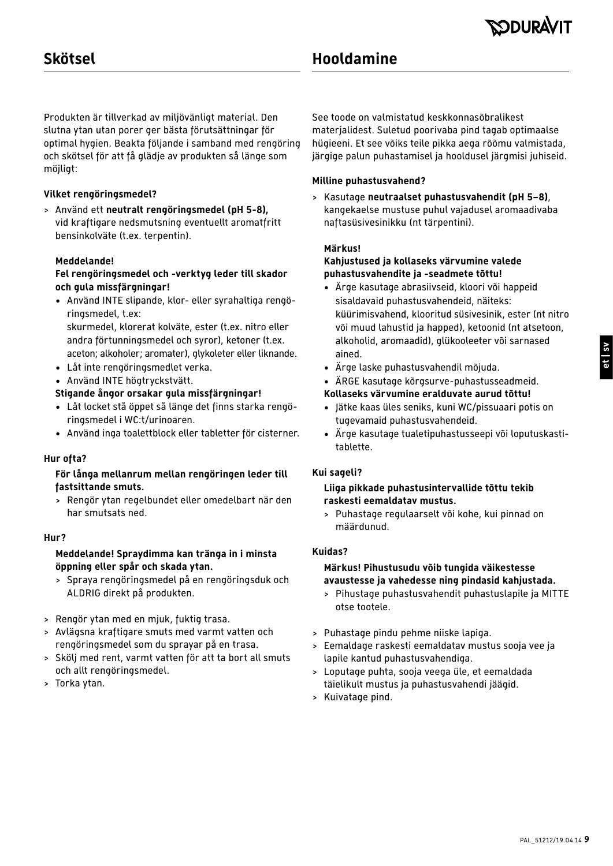Produkten är tillverkad av miljövänligt material. Den slutna ytan utan porer ger bästa förutsättningar för optimal hygien. Beakta följande i samband med rengöring och skötsel för att få glädje av produkten så länge som möjligt:

#### **Vilket rengöringsmedel?**

> Använd ett **neutralt rengöringsmedel (pH 5-8),** vid kraftigare nedsmutsning eventuellt aromatfritt bensinkolväte (t.ex. terpentin).

#### **Meddelande!**

#### **Fel rengöringsmedel och -verktyg leder till skador och gula missfärgningar!**

• Använd INTE slipande, klor- eller syrahaltiga rengöringsmedel, t.ex: skurmedel, klorerat kolväte, ester (t.ex. nitro eller andra förtunningsmedel och syror), ketoner (t.ex.

aceton; alkoholer; aromater), glykoleter eller liknande.

- Låt inte rengöringsmedlet verka.
- Använd INTE högtryckstvätt.
- **Stigande ångor orsakar gula missfärgningar!**
- Låt locket stå öppet så länge det finns starka rengöringsmedel i WC:t/urinoaren.
- Använd inga toalettblock eller tabletter för cisterner.

#### **Hur ofta?**

#### **För långa mellanrum mellan rengöringen leder till fastsittande smuts.**

> Rengör ytan regelbundet eller omedelbart när den har smutsats ned.

#### **Hur?**

#### **Meddelande! Spraydimma kan tränga in i minsta öppning eller spår och skada ytan.**

- > Spraya rengöringsmedel på en rengöringsduk och ALDRIG direkt på produkten.
- > Rengör ytan med en mjuk, fuktig trasa.
- > Avlägsna kraftigare smuts med varmt vatten och rengöringsmedel som du sprayar på en trasa.
- > Skölj med rent, varmt vatten för att ta bort all smuts och allt rengöringsmedel.
- > Torka ytan.

See toode on valmistatud keskkonnasõbralikest materjalidest. Suletud poorivaba pind tagab optimaalse hügieeni. Et see võiks teile pikka aega rõõmu valmistada, järgige palun puhastamisel ja hooldusel järgmisi juhiseid.

#### **Milline puhastusvahend?**

> Kasutage **neutraalset puhastusvahendit (pH 5–8)**, kangekaelse mustuse puhul vajadusel aromaadivaba naftasüsivesinikku (nt tärpentini).

#### **Märkus!**

#### **Kahjustused ja kollaseks värvumine valede puhastusvahendite ja -seadmete tõttu!**

- Ärge kasutage abrasiivseid, kloori või happeid sisaldavaid puhastusvahendeid, näiteks: küürimisvahend, klooritud süsivesinik, ester (nt nitro või muud lahustid ja happed), ketoonid (nt atsetoon, alkoholid, aromaadid), glükooleeter või sarnased ained.
- Ärge laske puhastusvahendil mõjuda.
- ÄRGE kasutage kõrgsurve-puhastusseadmeid.

#### **Kollaseks värvumine eralduvate aurud tõttu!**

- Jätke kaas üles seniks, kuni WC/pissuaari potis on tugevamaid puhastusvahendeid.
- Ärge kasutage tualetipuhastusseepi või loputuskastitablette.

#### **Kui sageli?**

#### **Liiga pikkade puhastusintervallide tõttu tekib raskesti eemaldatav mustus.**

> Puhastage regulaarselt või kohe, kui pinnad on määrdunud.

#### **Kuidas?**

#### **Märkus! Pihustusudu võib tungida väikestesse avaustesse ja vahedesse ning pindasid kahjustada.**

- > Pihustage puhastusvahendit puhastuslapile ja MITTE otse tootele.
- > Puhastage pindu pehme niiske lapiga.
- > Eemaldage raskesti eemaldatav mustus sooja vee ja lapile kantud puhastusvahendiga.
- > Loputage puhta, sooja veega üle, et eemaldada täielikult mustus ja puhastusvahendi jäägid.
- > Kuivatage pind.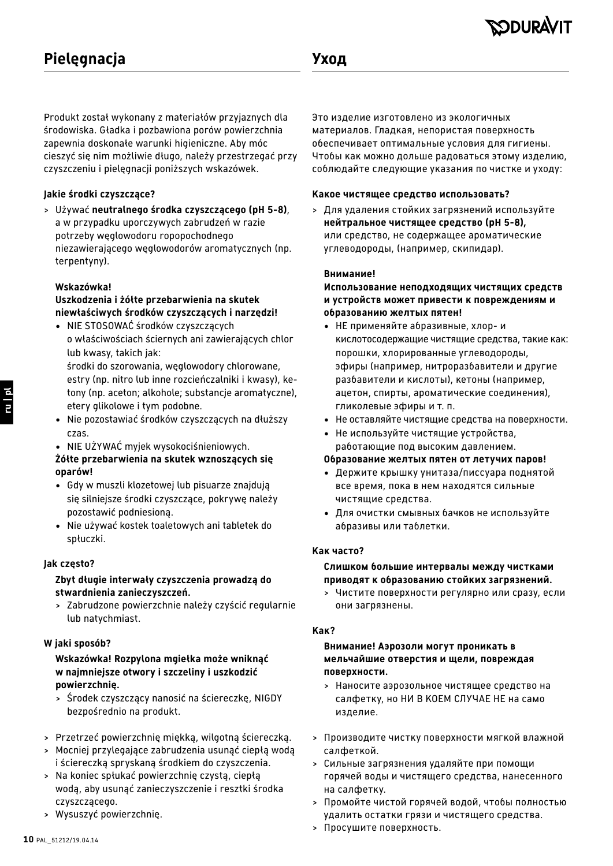#### **Jakie środki czyszczące?**

> Używać **neutralnego środka czyszczącego (pH 5-8)**, a w przypadku uporczywych zabrudzeń w razie potrzeby węglowodoru ropopochodnego niezawierającego węglowodorów aromatycznych (np. terpentyny).

czyszczeniu i pielęgnacji poniższych wskazówek.

#### **Wskazówka!**

#### **Uszkodzenia i żółte przebarwienia na skutek niewłaściwych środków czyszczących i narzędzi!**

- NIE STOSOWAĆ środków czyszczących o właściwościach ściernych ani zawierających chlor lub kwasy, takich jak: środki do szorowania, węglowodory chlorowane, estry (np. nitro lub inne rozcieńczalniki i kwasy), ketony (np. aceton; alkohole; substancje aromatyczne), etery glikolowe i tym podobne.
- Nie pozostawiać środków czyszczących na dłuższy czas.
- NIE UŻYWAĆ myjek wysokociśnieniowych.

#### **Żółte przebarwienia na skutek wznoszących się oparów!**

- Gdy w muszli klozetowej lub pisuarze znajdują się silniejsze środki czyszczące, pokrywę należy pozostawić podniesioną.
- Nie używać kostek toaletowych ani tabletek do spłuczki.

#### **Jak często?**

#### **Zbyt długie interwały czyszczenia prowadzą do stwardnienia zanieczyszczeń.**

> Zabrudzone powierzchnie należy czyścić regularnie lub natychmiast.

#### **W jaki sposób?**

#### **Wskazówka! Rozpylona mgiełka może wniknąć w najmniejsze otwory i szczeliny i uszkodzić powierzchnię.**

- > Środek czyszczący nanosić na ściereczkę, NIGDY bezpośrednio na produkt.
- > Przetrzeć powierzchnię miękką, wilgotną ściereczką.
- > Mocniej przylegające zabrudzenia usunąć ciepłą wodą i ściereczką spryskaną środkiem do czyszczenia.
- > Na koniec spłukać powierzchnię czystą, ciepłą wodą, aby usunąć zanieczyszczenie i resztki środka czyszczącego.
- > Wysuszyć powierzchnię.

Это изделие изготовлено из экологичных материалов. Гладкая, непористая поверхность обеспечивает оптимальные условия для гигиены. Чтобы как можно дольше радоваться этому изделию, соблюдайте следующие указания по чистке и уходу:

#### **Какое чистящее средство использовать?**

> Для удаления стойких загрязнений используйте **нейтральное чистящее средство (рН 5-8),** или средство, не содержащее ароматические углеводороды, (например, скипидар).

#### **Внимание!**

#### **Использование неподходящих чистящих средств и устройств может привести к повреждениям и образованию желтых пятен!**

- НЕ применяйте абразивные, хлор- и кислотосодержащие чистящие средства, такие как: порошки, хлорированные углеводороды, эфиры (например, нитроразбавители и другие разбавители и кислоты), кетоны (например, ацетон, спирты, ароматические соединения), гликолевые эфиры и т. п.
- Не оставляйте чистящие средства на поверхности.
- Не используйте чистящие устройства, работающие под высоким давлением.

#### **Образование желтых пятен от летучих паров!**

- Держите крышку унитаза/писсуара поднятой все время, пока в нем находятся сильные чистящие средства.
- Для очистки смывных бачков не используйте абразивы или таблетки.

#### **Как часто?**

#### **Слишком большие интервалы между чистками приводят к образованию стойких загрязнений.**

> Чистите поверхности регулярно или сразу, если они загрязнены.

#### **Как?**

#### **Внимание! Аэрозоли могут проникать в мельчайшие отверстия и щели, повреждая поверхности.**

- > Наносите аэрозольное чистящее средство на салфетку, но НИ В КОЕМ СЛУЧАЕ НЕ на само изделие.
- > Производите чистку поверхности мягкой влажной салфеткой.
- > Сильные загрязнения удаляйте при помощи горячей воды и чистящего средства, нанесенного на салфетку.
- > Промойте чистой горячей водой, чтобы полностью удалить остатки грязи и чистящего средства.
- > Просушите поверхность.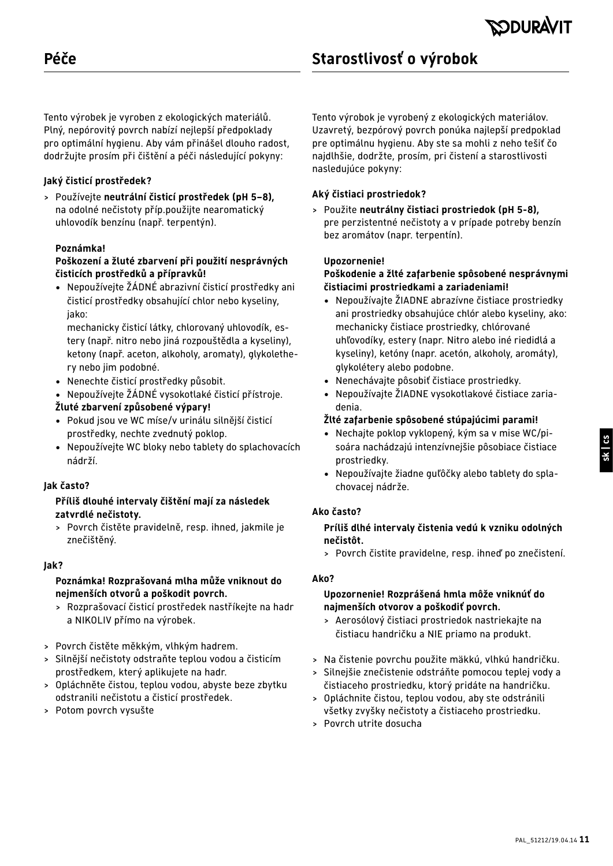**Péče Starostlivosť o výrobok**

Tento výrobek je vyroben z ekologických materiálů. Plný, nepórovitý povrch nabízí nejlepší předpoklady pro optimální hygienu. Aby vám přinášel dlouho radost, dodržujte prosím při čištění a péči následující pokyny:

#### **Jaký čisticí prostředek?**

> Používejte **neutrální čisticí prostředek (pH 5–8),** na odolné nečistoty příp.použijte nearomatický uhlovodík benzínu (např. terpentýn).

#### **Poznámka!**

#### **Poškození a žluté zbarvení při použití nesprávných čisticích prostředků a přípravků!**

• Nepoužívejte ŽÁDNÉ abrazivní čisticí prostředky ani čisticí prostředky obsahující chlor nebo kyseliny, iako:

mechanicky čisticí látky, chlorovaný uhlovodík, estery (např. nitro nebo jiná rozpouštědla a kyseliny), ketony (např. aceton, alkoholy, aromaty), glykolethery nebo jim podobné.

- Nenechte čisticí prostředky působit.
- Nepoužívejte ŽÁDNÉ vysokotlaké čisticí přístroje. **Žluté zbarvení způsobené výpary!**
- Pokud jsou ve WC míse/v urinálu silnější čisticí prostředky, nechte zvednutý poklop.
- Nepoužívejte WC bloky nebo tablety do splachovacích nádrží.

#### **Jak často?**

#### **Příliš dlouhé intervaly čištění mají za následek zatvrdlé nečistoty.**

> Povrch čistěte pravidelně, resp. ihned, jakmile je znečištěný.

#### **Jak?**

#### **Poznámka! Rozprašovaná mlha může vniknout do nejmenších otvorů a poškodit povrch.**

- > Rozprašovací čisticí prostředek nastříkejte na hadr a NIKOLIV přímo na výrobek.
- > Povrch čistěte měkkým, vlhkým hadrem.
- > Silnější nečistoty odstraňte teplou vodou a čisticím prostředkem, který aplikujete na hadr.
- > Opláchněte čistou, teplou vodou, abyste beze zbytku odstranili nečistotu a čisticí prostředek.
- > Potom povrch vysušte

Tento výrobok je vyrobený z ekologických materiálov. Uzavretý, bezpórový povrch ponúka najlepší predpoklad pre optimálnu hygienu. Aby ste sa mohli z neho tešiť čo najdlhšie, dodržte, prosím, pri čistení a starostlivosti nasledujúce pokyny:

#### **Aký čistiaci prostriedok?**

> Použite **neutrálny čistiaci prostriedok (pH 5-8),** pre perzistentné nečistoty a v prípade potreby benzín bez aromátov (napr. terpentín).

#### **Upozornenie!**

#### **Poškodenie a žlté zafarbenie spôsobené nesprávnymi čistiacimi prostriedkami a zariadeniami!**

- Nepoužívajte ŽIADNE abrazívne čistiace prostriedky ani prostriedky obsahujúce chlór alebo kyseliny, ako: mechanicky čistiace prostriedky, chlórované uhľovodíky, estery (napr. Nitro alebo iné riedidlá a kyseliny), ketóny (napr. acetón, alkoholy, aromáty), glykolétery alebo podobne.
- Nenechávajte pôsobiť čistiace prostriedky.
- Nepoužívajte ŽIADNE vysokotlakové čistiace zariadenia.

#### **Žlté zafarbenie spôsobené stúpajúcimi parami!**

- Nechajte poklop vyklopený, kým sa v mise WC/pisoára nachádzajú intenzívnejšie pôsobiace čistiace prostriedky.
- Nepoužívajte žiadne guľôčky alebo tablety do splachovacej nádrže.

#### **Ako často?**

#### **Príliš dlhé intervaly čistenia vedú k vzniku odolných nečistôt.**

> Povrch čistite pravidelne, resp. ihneď po znečistení.

#### **Ako?**

#### **Upozornenie! Rozprášená hmla môže vniknúť do najmenších otvorov a poškodiť povrch.**

- > Aerosólový čistiaci prostriedok nastriekajte na čistiacu handričku a NIE priamo na produkt.
- > Na čistenie povrchu použite mäkkú, vlhkú handričku.
- > Silnejšie znečistenie odstráňte pomocou teplej vody a čistiaceho prostriedku, ktorý pridáte na handričku.
- > Opláchnite čistou, teplou vodou, aby ste odstránili všetky zvyšky nečistoty a čistiaceho prostriedku.
- > Povrch utrite dosucha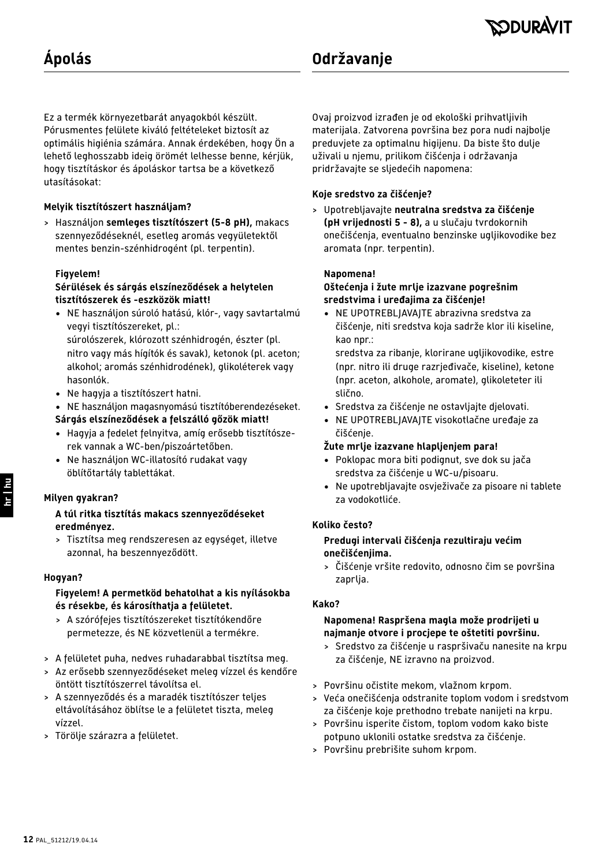Ez a termék környezetbarát anyagokból készült. Pórusmentes felülete kiváló feltételeket biztosít az optimális higiénia számára. Annak érdekében, hogy Ön a lehető leghosszabb ideig örömét lelhesse benne, kérjük, hogy tisztításkor és ápoláskor tartsa be a következő utasításokat:

#### **Melyik tisztítószert használjam?**

> Használjon **semleges tisztítószert (5-8 pH),** makacs szennyeződéseknél, esetleg aromás vegyületektől mentes benzin-szénhidrogént (pl. terpentin).

#### **Figyelem!**

#### **Sérülések és sárgás elszíneződések a helytelen tisztítószerek és -eszközök miatt!**

- NE használjon súroló hatású, klór-, vagy savtartalmú vegyi tisztítószereket, pl.: súrolószerek, klórozott szénhidrogén, észter (pl. nitro vagy más hígítók és savak), ketonok (pl. aceton; alkohol; aromás szénhidrodének), glikoléterek vagy hasonlók.
- Ne hagyja a tisztítószert hatni.
- NE használjon magasnyomású tisztítóberendezéseket. **Sárgás elszíneződések a felszálló gőzök miatt!**
- Hagyja a fedelet felnyitva, amíg erősebb tisztítószerek vannak a WC-ben/piszoártetőben.
- Ne használjon WC-illatosító rudakat vagy öblítőtartály tablettákat.

#### **Milyen gyakran?**

**hr | hu**

#### **A túl ritka tisztítás makacs szennyeződéseket eredményez.**

> Tisztítsa meg rendszeresen az egységet, illetve azonnal, ha beszennyeződött.

#### **Hogyan?**

#### **Figyelem! A permetköd behatolhat a kis nyílásokba és résekbe, és károsíthatja a felületet.**

- > A szórófejes tisztítószereket tisztítókendőre permetezze, és NE közvetlenül a termékre.
- > A felületet puha, nedves ruhadarabbal tisztítsa meg.
- > Az erősebb szennyeződéseket meleg vízzel és kendőre öntött tisztítószerrel távolítsa el.
- > A szennyeződés és a maradék tisztítószer teljes eltávolításához öblítse le a felületet tiszta, meleg vízzel.
- > Törölje szárazra a felületet.

Ovaj proizvod izrađen je od ekološki prihvatljivih materijala. Zatvorena površina bez pora nudi najbolje preduvjete za optimalnu higijenu. Da biste što dulje uživali u njemu, prilikom čišćenja i održavanja pridržavajte se sljedećih napomena:

#### **Koje sredstvo za čišćenje?**

> Upotrebljavajte **neutralna sredstva za čišćenje (pH vrijednosti 5 - 8),** a u slučaju tvrdokornih onečišćenja, eventualno benzinske ugljikovodike bez aromata (npr. terpentin).

#### **Napomena!**

#### **Oštećenja i žute mrlje izazvane pogrešnim sredstvima i uređajima za čišćenje!**

• NE UPOTREBLJAVAJTE abrazivna sredstva za čišćenje, niti sredstva koja sadrže klor ili kiseline, kao npr.:

sredstva za ribanje, klorirane ugljikovodike, estre (npr. nitro ili druge razrjeđivače, kiseline), ketone (npr. aceton, alkohole, aromate), glikoleteter ili slično.

- Sredstva za čišćenje ne ostavljajte djelovati.
- NE UPOTREBLJAVAJTE visokotlačne uređaje za čišćenje.

#### **Žute mrlje izazvane hlapljenjem para!**

- Poklopac mora biti podignut, sve dok su jača sredstva za čišćenje u WC-u/pisoaru.
- Ne upotrebljavajte osvježivače za pisoare ni tablete za vodokotliće.

#### **Koliko često?**

#### **Predugi intervali čišćenja rezultiraju većim onečišćenjima.**

> Čišćenje vršite redovito, odnosno čim se površina zaprlja.

#### **Kako?**

#### **Napomena! Raspršena magla može prodrijeti u najmanje otvore i procjepe te oštetiti površinu.**

- > Sredstvo za čišćenje u raspršivaču nanesite na krpu za čišćenje, NE izravno na proizvod.
- > Površinu očistite mekom, vlažnom krpom.
- > Veća onečišćenja odstranite toplom vodom i sredstvom za čišćenje koje prethodno trebate nanijeti na krpu.
- > Površinu isperite čistom, toplom vodom kako biste potpuno uklonili ostatke sredstva za čišćenje.
- > Površinu prebrišite suhom krpom.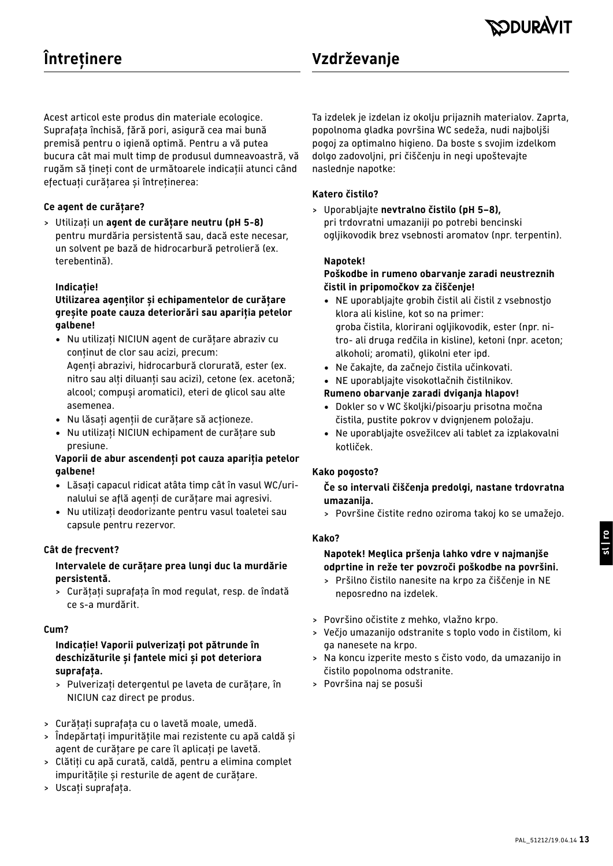Acest articol este produs din materiale ecologice. Suprafata închisă, fără pori, asigură cea mai bună premisă pentru o igienă optimă. Pentru a vă putea bucura cât mai mult timp de produsul dumneavoastră, vă rugăm să țineți cont de următoarele indicații atunci când efectuați curățarea și întreținerea:

#### **Ce agent de curățare?**

> Utilizați un **agent de curățare neutru (pH 5-8)** pentru murdăria persistentă sau, dacă este necesar, un solvent pe bază de hidrocarbură petrolieră (ex. terebentină).

#### **Indicație!**

#### **Utilizarea agenților și echipamentelor de curățare greșite poate cauza deteriorări sau apariția petelor galbene!**

- Nu utilizaţi NICIUN agent de curăţare abraziv cu conținut de clor sau acizi, precum: Agenți abrazivi, hidrocarbură clorurată, ester (ex. nitro sau alți diluanți sau acizi), cetone (ex. acetonă; alcool; compuși aromatici), eteri de glicol sau alte asemenea.
- Nu lăsaţi agenții de curăţare să acționeze.
- Nu utilizați NICIUN echipament de curățare sub presiune.

#### **Vaporii de abur ascendenți pot cauza apariția petelor galbene!**

- Lăsati capacul ridicat atâta timp cât în vasul WC/urinalului se află agenţi de curățare mai agresivi.
- Nu utilizați deodorizante pentru vasul toaletei sau capsule pentru rezervor.

#### **Cât de frecvent?**

#### **Intervalele de curățare prea lungi duc la murdărie persistentă.**

> Curățați suprafața în mod regulat, resp. de îndată ce s-a murdărit.

#### **Cum?**

#### **Indicație! Vaporii pulverizați pot pătrunde în deschizăturile și fantele mici și pot deteriora suprafața.**

- > Pulverizați detergentul pe laveta de curățare, în NICIUN caz direct pe produs.
- > Curățați suprafața cu o lavetă moale, umedă.
- > Îndepărtați impuritățile mai rezistente cu apă caldă și agent de curățare pe care îl aplicați pe lavetă.
- > Clătiti cu apă curată, caldă, pentru a elimina complet impuritățile și resturile de agent de curățare.
- > Uscați suprafața.

Ta izdelek je izdelan iz okolju prijaznih materialov. Zaprta, popolnoma gladka površina WC sedeža, nudi najboljši pogoj za optimalno higieno. Da boste s svojim izdelkom dolgo zadovoljni, pri čiščenju in negi upoštevajte naslednje napotke:

#### **Katero čistilo?**

> Uporabljajte **nevtralno čistilo (pH 5–8),** pri trdovratni umazaniji po potrebi bencinski ogljikovodik brez vsebnosti aromatov (npr. terpentin).

#### **Napotek!**

#### **Poškodbe in rumeno obarvanje zaradi neustreznih čistil in pripomočkov za čiščenje!**

- NE uporabljajte grobih čistil ali čistil z vsebnostjo klora ali kisline, kot so na primer: groba čistila, klorirani ogljikovodik, ester (npr. nitro- ali druga redčila in kisline), ketoni (npr. aceton; alkoholi; aromati), glikolni eter ipd.
- Ne čakajte, da začnejo čistila učinkovati.
- NE uporabljajte visokotlačnih čistilnikov.

#### **Rumeno obarvanje zaradi dviganja hlapov!**

- Dokler so v WC školjki/pisoarju prisotna močna čistila, pustite pokrov v dvignjenem položaju.
- Ne uporabljajte osvežilcev ali tablet za izplakovalni kotliček.

#### **Kako pogosto?**

#### **Če so intervali čiščenja predolgi, nastane trdovratna umazanija.**

> Površine čistite redno oziroma takoj ko se umažejo.

#### **Kako?**

#### **Napotek! Meglica pršenja lahko vdre v najmanjše odprtine in reže ter povzroči poškodbe na površini.**

- > Pršilno čistilo nanesite na krpo za čiščenje in NE neposredno na izdelek.
- > Površino očistite z mehko, vlažno krpo.
- > Večjo umazanijo odstranite s toplo vodo in čistilom, ki ga nanesete na krpo.
- > Na koncu izperite mesto s čisto vodo, da umazanijo in čistilo popolnoma odstranite.
- > Površina naj se posuši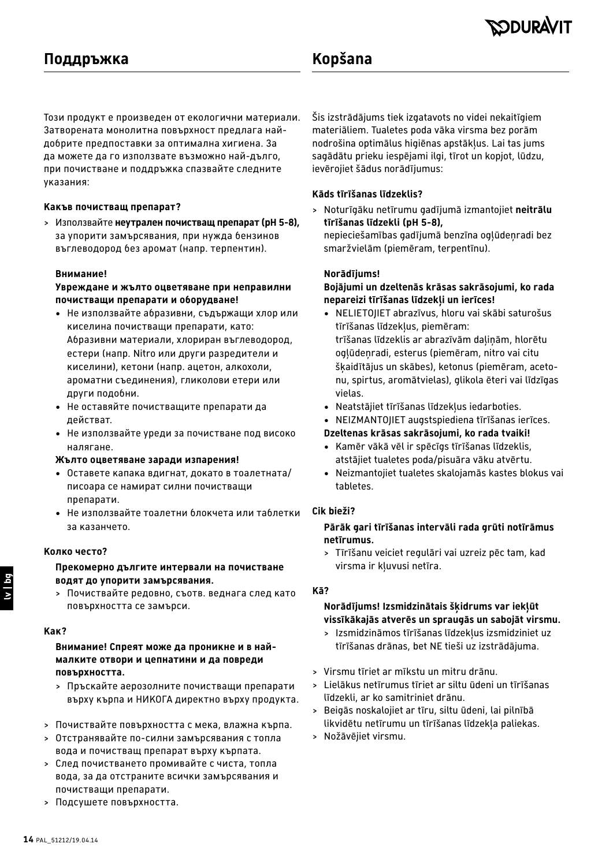Този продукт е произведен от екологични материали. Затворената монолитна повърхност предлага найдобрите предпоставки за оптимална хигиена. За да можете да го използвате възможно най-дълго, при почистване и поддръжка спазвайте следните указания:

#### **Какъв почистващ препарат?**

> Използвайте **неутрален почистващ препарат (pH 5-8),** за упорити замърсявания, при нужда бензинов въглеводород без аромат (напр. терпентин).

#### **Внимание!**

#### **Увреждане и жълто оцветяване при неправилни почистващи препарати и оборудване!**

- Не използвайте абразивни, съдържащи хлор или киселина почистващи препарати, като: Абразивни материали, хлориран въглеводород, естери (напр. Nitro или други разредители и киселини), кетони (напр. ацетон, алкохоли, ароматни съединения), гликолови етери или други подобни.
- Не оставяйте почистващите препарати да действат.
- Не използвайте уреди за почистване под високо налягане.

#### **Жълто оцветяване заради изпарения!**

- Оставете капака вдигнат, докато в тоалетната/ писоара се намират силни почистващи препарати.
- Не използвайте тоалетни блокчета или таблетки за казанчето.

#### **Колко често?**

#### **Прекомерно дългите интервали на почистване водят до упорити замърсявания.**

> Почиствайте редовно, съотв. веднага след като повърхността се замърси.

#### **Как?**

#### **Внимание! Спреят може да проникне и в наймалките отвори и цепнатини и да повреди повърхността.**

- > Пръскайте аерозолните почистващи препарати върху кърпа и НИКОГА директно върху продукта.
- > Почиствайте повърхността с мека, влажна кърпа.
- > Отстранявайте по-силни замърсявания с топла вода и почистващ препарат върху кърпата.
- > След почистването промивайте с чиста, топла вода, за да отстраните всички замърсявания и почистващи препарати.
- > Подсушете повърхността.

Šis izstrādājums tiek izgatavots no videi nekaitīgiem materiāliem. Tualetes poda vāka virsma bez porām nodrošina optimālus higiēnas apstākļus. Lai tas jums sagādātu prieku iespējami ilgi, tīrot un kopjot, lūdzu, ievērojiet šādus norādījumus:

#### **Kāds tīrīšanas līdzeklis?**

> Noturīgāku netīrumu gadījumā izmantojiet **neitrālu tīrīšanas līdzekli (pH 5-8),**  nepieciešamības gadījumā benzīna ogļūdeņradi bez smaržvielām (piemēram, terpentīnu).

#### **Norādījums!**

#### **Bojājumi un dzeltenās krāsas sakrāsojumi, ko rada nepareizi tīrīšanas līdzekļi un ierīces!**

- NELIETOJIET abrazīvus, hloru vai skābi saturošus tīrīšanas līdzekļus, piemēram: trīšanas līdzeklis ar abrazīvām daļinām, hlorētu ogļūdeņradi, esterus (piemēram, nitro vai citu šķaidītājus un skābes), ketonus (piemēram, acetonu, spirtus, aromātvielas), glikola ēteri vai līdzīgas vielas.
- Neatstājiet tīrīšanas līdzekļus iedarboties.
- NEIZMANTOJIET augstspiediena tīrīšanas ierīces.

#### **Dzeltenas krāsas sakrāsojumi, ko rada tvaiki!**

- Kamēr vākā vēl ir spēcīgs tīrīšanas līdzeklis, atstājiet tualetes poda/pisuāra vāku atvērtu.
- Neizmantojiet tualetes skalojamās kastes blokus vai tabletes.

#### **Cik bieži?**

#### **Pārāk gari tīrīšanas intervāli rada grūti notīrāmus netīrumus.**

> Tīrīšanu veiciet regulāri vai uzreiz pēc tam, kad virsma ir kļuvusi netīra.

#### **Kā?**

#### **Norādījums! Izsmidzinātais šķidrums var iekļūt vissīkākajās atverēs un spraugās un sabojāt virsmu.**

- > Izsmidzināmos tīrīšanas līdzekļus izsmidziniet uz tīrīšanas drānas, bet NE tieši uz izstrādājuma.
- > Virsmu tīriet ar mīkstu un mitru drānu.
- > Lielākus netīrumus tīriet ar siltu ūdeni un tīrīšanas līdzekli, ar ko samitriniet drānu.
- > Beigās noskalojiet ar tīru, siltu ūdeni, lai pilnībā likvidētu netīrumu un tīrīšanas līdzekļa paliekas.
- > Nožāvējiet virsmu.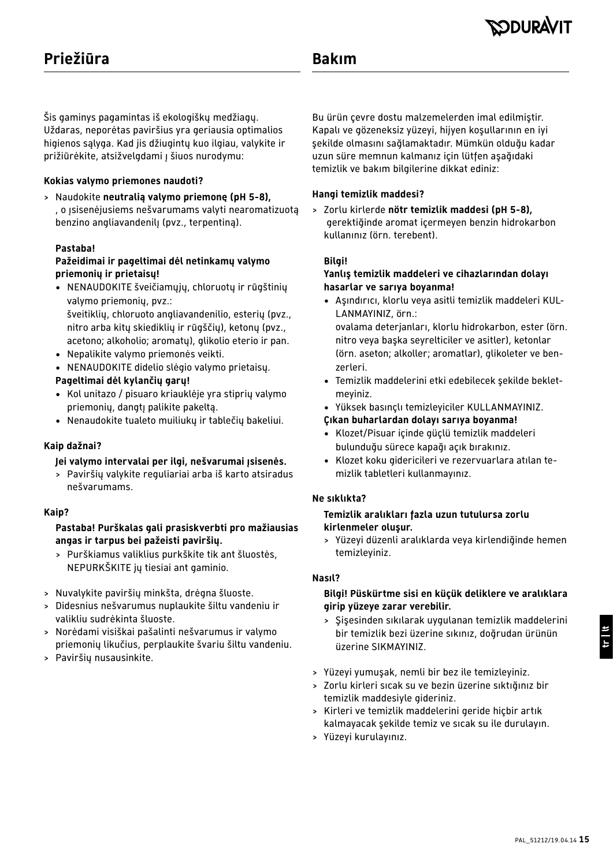Šis gaminys pagamintas iš ekologiškų medžiagų. Uždaras, neporėtas paviršius yra geriausia optimalios higienos sąlyga. Kad jis džiugintų kuo ilgiau, valykite ir prižiūrėkite, atsižvelgdami į šiuos nurodymu:

#### **Kokias valymo priemones naudoti?**

> Naudokite **neutralią valymo priemonę (pH 5-8),** , o įsisenėjusiems nešvarumams valyti nearomatizuotą benzino angliavandenilį (pvz., terpentiną).

#### **Pastaba!**

#### **Pažeidimai ir pageltimai dėl netinkamų valymo priemonių ir prietaisų!**

- NENAUDOKITE šveičiamųjų, chloruotų ir rūgštinių valymo priemonių, pvz.: šveitiklių, chloruoto angliavandenilio, esterių (pvz., nitro arba kitų skiediklių ir rūgščių), ketonų (pvz., acetono; alkoholio; aromatų), glikolio eterio ir pan.
- Nepalikite valymo priemonės veikti.
- NENAUDOKITE didelio slėgio valymo prietaisų.

#### **Pageltimai dėl kylančių garų!**

- Kol unitazo / pisuaro kriauklėje yra stiprių valymo priemonių, dangtį palikite pakeltą.
- Nenaudokite tualeto muiliukų ir tablečių bakeliui.

#### **Kaip dažnai?**

#### **Jei valymo intervalai per ilgi, nešvarumai įsisenės.**

> Paviršių valykite reguliariai arba iš karto atsiradus nešvarumams.

#### **Kaip?**

#### **Pastaba! Purškalas gali prasiskverbti pro mažiausias angas ir tarpus bei pažeisti paviršių.**

- > Purškiamus valiklius purkškite tik ant šluostės, NEPURKŠKITE jų tiesiai ant gaminio.
- > Nuvalykite paviršių minkšta, drėgna šluoste.
- > Didesnius nešvarumus nuplaukite šiltu vandeniu ir valikliu sudrėkinta šluoste.
- > Norėdami visiškai pašalinti nešvarumus ir valymo priemonių likučius, perplaukite švariu šiltu vandeniu.
- > Paviršių nusausinkite.

Bu ürün çevre dostu malzemelerden imal edilmiştir. Kapalı ve gözeneksiz yüzeyi, hijyen koşullarının en iyi şekilde olmasını sağlamaktadır. Mümkün olduğu kadar uzun süre memnun kalmanız için lütfen aşağıdaki temizlik ve bakım bilgilerine dikkat ediniz:

#### **Hangi temizlik maddesi?**

> Zorlu kirlerde **nötr temizlik maddesi (pH 5-8),** gerektiğinde aromat içermeyen benzin hidrokarbon kullanınız (örn. terebent).

#### **Bilgi!**

#### **Yanlış temizlik maddeleri ve cihazlarından dolayı hasarlar ve sarıya boyanma!**

• Aşındırıcı, klorlu veya asitli temizlik maddeleri KUL-LANMAYINIZ, örn.: ovalama deterjanları, klorlu hidrokarbon, ester (örn. nitro veya başka seyrelticiler ve asitler), ketonlar (örn. aseton; alkoller; aromatlar), glikoleter ve ben-

zerleri.

- Temizlik maddelerini etki edebilecek şekilde bekletmeyiniz.
- Yüksek basınçlı temizleyiciler KULLANMAYINIZ.

#### **Çıkan buharlardan dolayı sarıya boyanma!**

- Klozet/Pisuar içinde güçlü temizlik maddeleri bulunduğu sürece kapağı açık bırakınız.
- Klozet koku gidericileri ve rezervuarlara atılan temizlik tabletleri kullanmayınız.

#### **Ne sıklıkta?**

#### **Temizlik aralıkları fazla uzun tutulursa zorlu kirlenmeler oluşur.**

> Yüzeyi düzenli aralıklarda veya kirlendiğinde hemen temizleyiniz.

#### **Nasıl?**

#### **Bilgi! Püskürtme sisi en küçük deliklere ve aralıklara girip yüzeye zarar verebilir.**

- > Şişesinden sıkılarak uygulanan temizlik maddelerini bir temizlik bezi üzerine sıkınız, doğrudan ürünün üzerine SIKMAYINIZ.
- > Yüzeyi yumuşak, nemli bir bez ile temizleyiniz.
- > Zorlu kirleri sıcak su ve bezin üzerine sıktığınız bir temizlik maddesiyle gideriniz.
- > Kirleri ve temizlik maddelerini geride hiçbir artık kalmayacak şekilde temiz ve sıcak su ile durulayın.
- > Yüzeyi kurulayınız.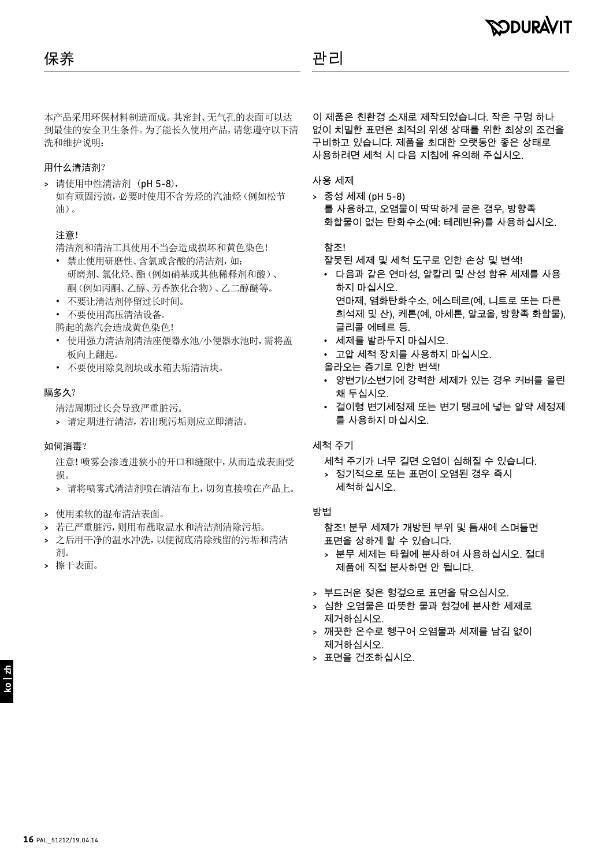本产品采用环保材料制造而成。其密封、无气孔的表面可以达 到最佳的安全卫生条件。为了能长久使用产品,请您遵守以下清 洗和维护说明:

#### 用什么清洁剂?

> 请使用中性清洁剂 (pH 5-8), 如有顽固污渍,必要时使用不含芳烃的汽油烃(例如松节 油)。

#### 注意!

- 清洁剂和清洁工具使用不当会造成损坏和黄色染色!
- 禁止使用研磨性、含氯或含酸的清洁剂,如: 研磨剂、氯化烃、酯(例如硝基或其他稀释剂和酸)、 酮(例如丙酮、乙醇、芳香族化合物)、乙二醇醚等。
- 不要让清洁剂停留过长时间。
- 不要使用高压清洁设备。

腾起的蒸汽会造成黄色染色!

- 使用强力清洁剂清洁座便器水池/小便器水池时,需将盖 板向上翻起。
- 不要使用除臭剂块或水箱去垢清洁块。

#### 隔多久?

清洁周期过长会导致严重脏污。

> 请定期进行清洁,若出现污垢则应立即清洁。

#### 如何消毒?

注意!喷雾会渗透进狭小的开口和缝隙中,从而造成表面受 损。

- > 请将喷雾式清洁剂喷在清洁布上,切勿直接喷在产品上。
- > 使用柔软的湿布清洁表面。
- > 若已严重脏污,则用布蘸取温水和清洁剂清除污垢。
- > 之后用干净的温水冲洗,以便彻底清除残留的污垢和清洁 剂。
- > 擦干表面。

이 제품은 친환경 소재로 제작되었습니다. 작은 구멍 하나 없이 치밀한 표면은 최적의 위생 상태를 위한 최상의 조건을 구비하고 있습니다. 제품을 최대한 오랫동안 좋은 상태로 사용하려면 세척 시 다음 지침에 유의해 주십시오.

#### 사용 세제

> 중성 세제 (pH 5-8) 를 사용하고, 오염물이 딱딱하게 굳은 경우, 방향족 화합물이 없는 탄화수소(예: 테레빈유)를 사용하십시오.

#### 참조!

잘못된 세제 및 세척 도구로 인한 손상 및 변색!

- 다음과 같은 연마성, 알칼리 및 산성 함유 세제를 사용 하지 마십시오. 연마제, 염화탄화수소, 에스테르(예, 니트로 또는 다른 희석제 및 산), 케톤(예, 아세톤, 알코올, 방향족 화합물), 글리콜 에테르 등.
- 세제를 발라두지 마십시오.
- 고압 세척 장치를 사용하지 마십시오.
- 올라오는 증기로 인한 변색!
- 양변기/소변기에 강력한 세제가 있는 경우 커버를 올린 채 두십시오.
- 걸이형 변기세정제 또는 변기 탱크에 넣는 알약 세정제 를 사용하지 마십시오.

#### 세척 주기

세척 주기가 너무 길면 오염이 심해질 수 있습니다.

> 정기적으로 또는 표면이 오염된 경우 즉시 세척하십시오.

#### 방법

참조! 분무 세제가 개방된 부위 및 틈새에 스며들면 표면을 상하게 할 수 있습니다.

- > 분무 세제는 타월에 분사하여 사용하십시오. 절대 제품에 직접 분사하면 안 됩니다.
- > 부드러운 젖은 헝겊으로 표면을 닦으십시오.
- > 심한 오염물은 따뜻한 물과 헝겊에 분사한 세제로 제거하십시오.
- > 깨끗한 온수로 헹구어 오염물과 세제를 남김 없이 제거하십시오.
- > 표면을 건조하십시오.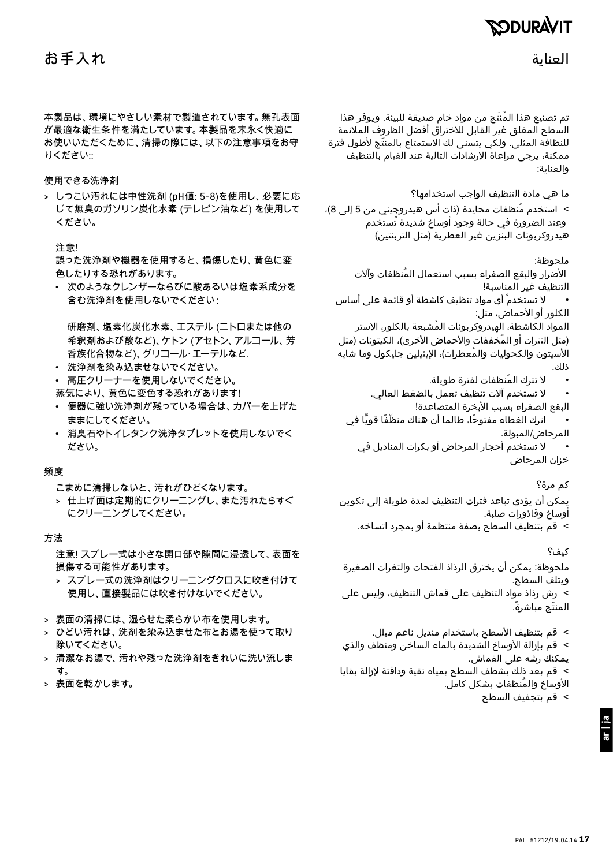本製品は、環境にやさしい素材で製造されています。無孔表面 が最適な衛生条件を満たしています。本製品を末永く快適に お使いいただくために、清掃の際には、以下の注意事項をお守 りください::

#### 使用できる洗浄剤

> しつこい汚れには中性洗剤 (pH値: 5-8)を使用し、必要に応 じて無臭のガソリン炭化水素 (テレピン油など) を使用して ください。

#### 注意!

誤った洗浄剤や機器を使用すると、損傷したり、黄色に変 色したりする恐れがあります。

• 次のようなクレンザーならびに酸あるいは塩素系成分を 含む洗浄剤を使用しないでください:

研磨剤、塩素化炭化水素、エステル (ニトロまたは他の 希釈剤および酸など)、ケトン (アセトン、アルコール、芳 香族化合物など)、グリコール・エーテルなど.

- 洗浄剤を染み込ませないでください。
- 高圧クリーナーを使用しないでください。
- 蒸気により、黄色に変色する恐れがあります!
- 便器に強い洗浄剤が残っている場合は、カバーを上げた ままにしてください。
- 消臭石やトイレタンク洗浄タブレットを使用しないでく ださい。

#### 頻度

- こまめに清掃しないと、汚れがひどくなります。
- > 仕上げ面は定期的にクリーニングし、また汚れたらすぐ にクリーニングしてください。

#### 方法

注意! スプレー式は小さな開口部や隙間に浸透して、表面を 損傷する可能性があります。

- > スプレー式の洗浄剤はクリーニングクロスに吹き付けて 使用し、直接製品には吹き付けないでください。
- > 表面の清掃には、湿らせた柔らかい布を使用します。
- > ひどい汚れは、洗剤を染み込ませた布とお湯を使って取り 除いてください。
- > 清潔なお湯で、汚れや残った洗浄剤をきれいに洗い流しま す。
- > 表面を乾かします。

تم تصنيع هذا المُنتَج من مواد خام صديقة للبيئة. ويوفر هذا السطح المغلق غير القابل لالختراق أفضل الظروف المالئمة للنظافة المثلى. ولكي يتسنى لك الاستمتاع بالمنتَج لأطول فترة ممكنة، يرجى مراعاة الإرشادات التالية عند القيام بالتنظيف والعناية:

ما هي مادة التنظيف الواجب استخدامها؟

> استخدم مُنظفات محايدة (ذات أس هيدروجيني من 5 إلى 8)، وعند الضرورة في حالة وجود أوساخ شديدة تُستخدم هيدروكربونات البنزين غير العطرية (مثل التربنتين)

#### ملحوظة:

الأضرار والبقع الصفراء بسبب استعمال المُنظفات وآلات التنظيف غير المناسبة!

 •ال تستخدمْ أي مواد تنظيف كاشطة أو قائمة على أساس الكلور أو الأحماض، مثل:

المواد الكاشطة، الهيدروكربونات المُشبعة بالكلور، اإلستر (مثل النترات أو المُخففات والأحماض الأخرى)، الكيتونات (مثل الأسيتون والكحوليات والمُعطرات)، الإيثيلين جليكول وما شابه ذلك.

•ال تترك المُنظفات لفترة طويلة.

•ال تستخدم آالت تنظيف تعمل بالضغط العالي.

البقع الصفراء بسبب الأبخرة المتصاعدة! •اترك الغطاء مفتوحًا، طالما أن هناك منظِّفًا قويًّا في المرحاض/المبولة.

 •ال تستخدم أحجار المرحاض أو بكرات المناديل في خزان المرحاض

#### كم مرة؟

يمكن أن يؤدي تباعد فترات التنظيف لمدة طويلة إلى تكوين أوساخ وقاذورات صلبة.

 قم بتنظيف السطح بصفة منتظمة أو بمجرد اتساخه.

#### كيف؟

ملحوظة: يمكن أن يخترق الرذاذ الفتحات والثغرات الصغيرة ويتلف السطح. رش رذاذ مواد التنظيف على قماش التنظيف، وليس على

المنتَج مباشرة.ً

> قم بتنظيف الأسطح باستخدام منديل ناعم مبلل.

- > قم بإزالة الأوساخ الشديدة بالماء الساخن ومنظف والذي
	- يمكنك رشه على القماش.
- > قم بعد ذلك بشطف السطح بمياه نقية ودافئة لإزالة بقايا األوساخ والمُنظفات بشكل كامل.
	- قم بتجفيف السطح